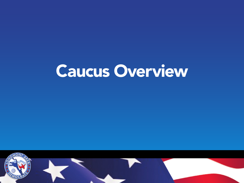# Caucus Overview

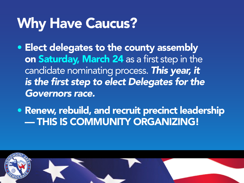# Why Have Caucus?

- Elect delegates to the county assembly on Saturday, March 24 as a first step in the candidate nominating process. *This year, it is the first step to elect Delegates for the Governors race.*
- Renew, rebuild, and recruit precinct leadership — THIS IS COMMUNITY ORGANIZING!

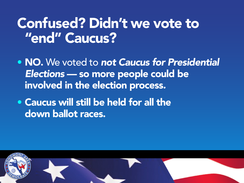### Confused? Didn't we vote to "end" Caucus?

- NO. We voted to *not Caucus for Presidential Elections* — so more people could be involved in the election process*.*
- Caucus will still be held for all the down ballot races.

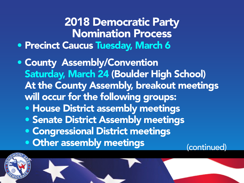#### 2018 Democratic Party Nomination Process • Precinct Caucus Tuesday, March 6

- County Assembly/Convention Saturday, March 24 (Boulder High School) At the County Assembly, breakout meetings will occur for the following groups:
	- House District assembly meetings
	- Senate District Assembly meetings
	- Congressional District meetings
	- Other assembly meetings (continued)

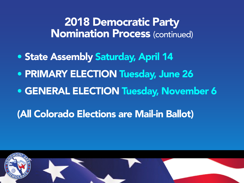#### 2018 Democratic Party Nomination Process (continued)

- State Assembly Saturday, April 14
- PRIMARY ELECTION Tuesday, June 26
- GENERAL ELECTION Tuesday, November 6
- (All Colorado Elections are Mail-in Ballot)

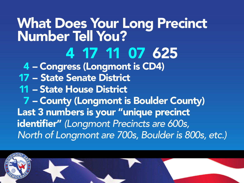# What Does Your Long Precinct Number Tell You? 4 17 11 07 625 4 – Congress (Longmont is CD4)

17 – State Senate District 11 – State House District 7 – County (Longmont is Boulder County) Last 3 numbers is your "unique precinct identifier" *(Longmont Precincts are 600s, North of Longmont are 700s, Boulder is 800s, etc.)*

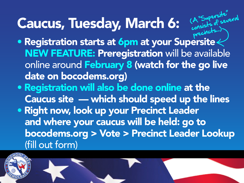# Caucus, Tuesday, March 6:

• Registration starts at 6pm at your Supersite NEW FEATURE: Preregistration will be available online around February 8 (watch for the go live date on bocodems.org) precincts...)

(A "Supersite"

A "Supersnered

- Registration will also be done online at the Caucus site — which should speed up the lines
- Right now, look up your Precinct Leader and where your caucus will be held: go to bocodems.org > Vote > Precinct Leader Lookup (fill out form)

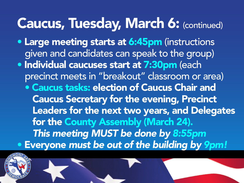### Caucus, Tuesday, March 6: (continued)

- Large meeting starts at 6:45pm (instructions given and candidates can speak to the group)
- Individual caucuses start at 7:30pm (each precinct meets in "breakout" classroom or area)
- Caucus tasks: election of Caucus Chair and Caucus Secretary for the evening, Precinct Leaders for the next two years, and Delegates for the County Assembly (March 24). *This meeting MUST be done by 8:55pm* • Everyone *must be out of the building by 9pm!*